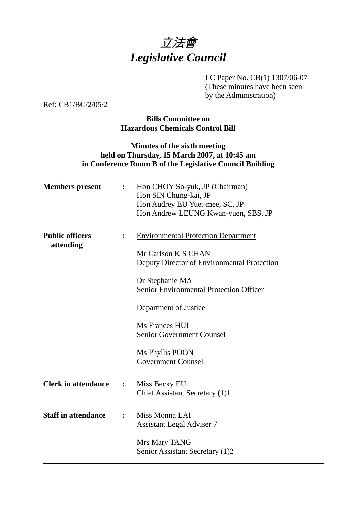

LC Paper No. CB(1) 1307/06-07 (These minutes have been seen by the Administration)

Ref: CB1/BC/2/05/2

## **Bills Committee on Hazardous Chemicals Control Bill**

## **Minutes of the sixth meeting held on Thursday, 15 March 2007, at 10:45 am in Conference Room B of the Legislative Council Building**

| <b>Members</b> present              | $\ddot{\cdot}$   | Hon CHOY So-yuk, JP (Chairman)<br>Hon SIN Chung-kai, JP<br>Hon Audrey EU Yuet-mee, SC, JP<br>Hon Andrew LEUNG Kwan-yuen, SBS, JP                                                                                                                                                                                     |
|-------------------------------------|------------------|----------------------------------------------------------------------------------------------------------------------------------------------------------------------------------------------------------------------------------------------------------------------------------------------------------------------|
| <b>Public officers</b><br>attending | $\ddot{\cdot}$   | <b>Environmental Protection Department</b><br>Mr Carlson K S CHAN<br>Deputy Director of Environmental Protection<br>Dr Stephanie MA<br><b>Senior Environmental Protection Officer</b><br>Department of Justice<br>Ms Frances HUI<br><b>Senior Government Counsel</b><br>Ms Phyllis POON<br><b>Government Counsel</b> |
| <b>Clerk in attendance</b>          | $\ddot{\bullet}$ | Miss Becky EU<br>Chief Assistant Secretary (1)1                                                                                                                                                                                                                                                                      |
| <b>Staff in attendance</b>          | $\ddot{\cdot}$   | Miss Monna LAI<br><b>Assistant Legal Adviser 7</b><br>Mrs Mary TANG                                                                                                                                                                                                                                                  |
|                                     |                  | Senior Assistant Secretary (1)2                                                                                                                                                                                                                                                                                      |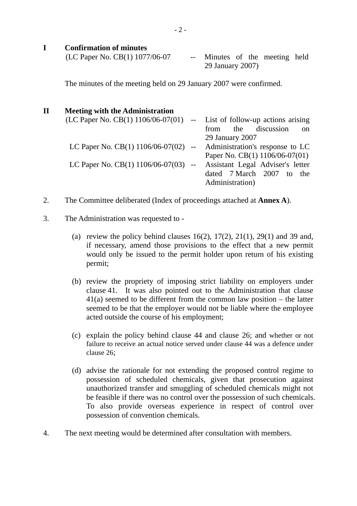### **I Confirmation of minutes**

| (LC Paper No. CB $(1)$ 1077/06-07 | -- Minutes of the meeting held |  |  |
|-----------------------------------|--------------------------------|--|--|
|                                   | 29 January 2007)               |  |  |

The minutes of the meeting held on 29 January 2007 were confirmed.

# **II Meeting with the Administration**   $(LC$  Paper No.  $CB(1)$  1106/06-07(01) -- List of follow-up actions arising from the discussion on 29 January 2007 LC Paper No.  $CB(1)$  1106/06-07(02) -- Administration's response to LC Paper No. CB(1) 1106/06-07(01) LC Paper No. CB(1) 1106/06-07(03) -- Assistant Legal Adviser's letter dated 7 March 2007 to the Administration)

- 2. The Committee deliberated (Index of proceedings attached at **Annex A**).
- 3. The Administration was requested to
	- (a) review the policy behind clauses  $16(2)$ ,  $17(2)$ ,  $21(1)$ ,  $29(1)$  and 39 and, if necessary, amend those provisions to the effect that a new permit would only be issued to the permit holder upon return of his existing permit;
	- (b) review the propriety of imposing strict liability on employers under clause 41. It was also pointed out to the Administration that clause 41(a) seemed to be different from the common law position – the latter seemed to be that the employer would not be liable where the employee acted outside the course of his employment;
	- (c) explain the policy behind clause 44 and clause 26; and whether or not failure to receive an actual notice served under clause 44 was a defence under clause 26;
	- (d) advise the rationale for not extending the proposed control regime to possession of scheduled chemicals, given that prosecution against unauthorized transfer and smuggling of scheduled chemicals might not be feasible if there was no control over the possession of such chemicals. To also provide overseas experience in respect of control over possession of convention chemicals.
- 4. The next meeting would be determined after consultation with members.

- 2 -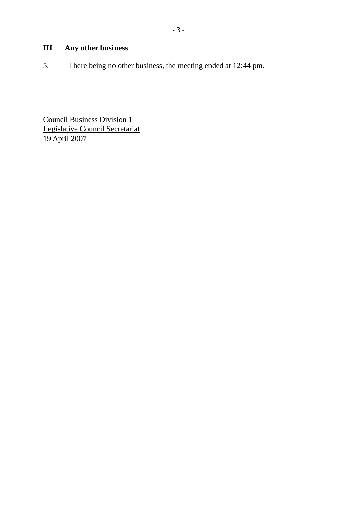# **III Any other business**

5. There being no other business, the meeting ended at 12:44 pm.

Council Business Division 1 Legislative Council Secretariat 19 April 2007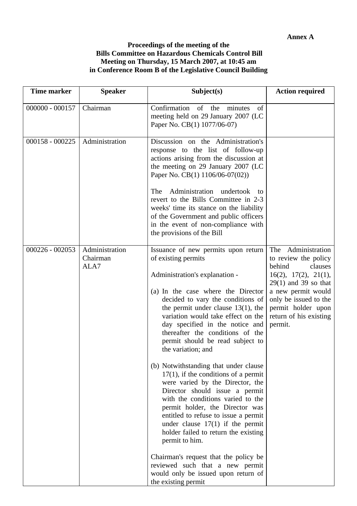### **Proceedings of the meeting of the Bills Committee on Hazardous Chemicals Control Bill Meeting on Thursday, 15 March 2007, at 10:45 am in Conference Room B of the Legislative Council Building**

| <b>Time marker</b> | <b>Speaker</b>                     | Subject(s)                                                                                                                                                                                                                                                                                                                                                                                                                                                                                                                                                                                                                                                                                                                                                                                                                                                                                                  | <b>Action required</b>                                                                                                                                                                                                         |
|--------------------|------------------------------------|-------------------------------------------------------------------------------------------------------------------------------------------------------------------------------------------------------------------------------------------------------------------------------------------------------------------------------------------------------------------------------------------------------------------------------------------------------------------------------------------------------------------------------------------------------------------------------------------------------------------------------------------------------------------------------------------------------------------------------------------------------------------------------------------------------------------------------------------------------------------------------------------------------------|--------------------------------------------------------------------------------------------------------------------------------------------------------------------------------------------------------------------------------|
| $000000 - 000157$  | Chairman                           | Confirmation<br>of the<br>minutes<br>of<br>meeting held on 29 January 2007 (LC<br>Paper No. CB(1) 1077/06-07)                                                                                                                                                                                                                                                                                                                                                                                                                                                                                                                                                                                                                                                                                                                                                                                               |                                                                                                                                                                                                                                |
| $000158 - 000225$  | Administration                     | Discussion on the Administration's<br>response to the list of follow-up<br>actions arising from the discussion at<br>the meeting on 29 January 2007 (LC<br>Paper No. CB(1) 1106/06-07(02))<br>Administration<br>The<br>undertook<br>to<br>revert to the Bills Committee in 2-3<br>weeks' time its stance on the liability<br>of the Government and public officers<br>in the event of non-compliance with<br>the provisions of the Bill                                                                                                                                                                                                                                                                                                                                                                                                                                                                     |                                                                                                                                                                                                                                |
| $000226 - 002053$  | Administration<br>Chairman<br>ALA7 | Issuance of new permits upon return<br>of existing permits<br>Administration's explanation -<br>(a) In the case where the Director<br>decided to vary the conditions of<br>the permit under clause $13(1)$ , the<br>variation would take effect on the<br>day specified in the notice and<br>thereafter the conditions of the<br>permit should be read subject to<br>the variation; and<br>(b) Notwithstanding that under clause<br>$17(1)$ , if the conditions of a permit<br>were varied by the Director, the<br>Director should issue a permit<br>with the conditions varied to the<br>permit holder, the Director was<br>entitled to refuse to issue a permit<br>under clause $17(1)$ if the permit<br>holder failed to return the existing<br>permit to him.<br>Chairman's request that the policy be<br>reviewed such that a new permit<br>would only be issued upon return of<br>the existing permit | Administration<br>The<br>to review the policy<br>behind<br>clauses<br>16(2), 17(2), 21(1),<br>$29(1)$ and 39 so that<br>a new permit would<br>only be issued to the<br>permit holder upon<br>return of his existing<br>permit. |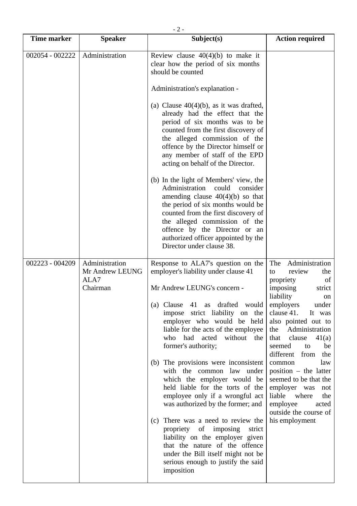| <b>Time marker</b> | <b>Speaker</b>                                        | Subject(s)                                                                                                                                                                                                                                                                                                                                                                                                                                                                                                                                                                                                                                                                                                                                                                       | <b>Action required</b>                                                                                                                                                                                                                                                                                                                                                                                                                                                 |
|--------------------|-------------------------------------------------------|----------------------------------------------------------------------------------------------------------------------------------------------------------------------------------------------------------------------------------------------------------------------------------------------------------------------------------------------------------------------------------------------------------------------------------------------------------------------------------------------------------------------------------------------------------------------------------------------------------------------------------------------------------------------------------------------------------------------------------------------------------------------------------|------------------------------------------------------------------------------------------------------------------------------------------------------------------------------------------------------------------------------------------------------------------------------------------------------------------------------------------------------------------------------------------------------------------------------------------------------------------------|
| 002054 - 002222    | Administration                                        | Review clause $40(4)(b)$ to make it<br>clear how the period of six months<br>should be counted<br>Administration's explanation -<br>(a) Clause $40(4)(b)$ , as it was drafted,<br>already had the effect that the<br>period of six months was to be<br>counted from the first discovery of<br>the alleged commission of the                                                                                                                                                                                                                                                                                                                                                                                                                                                      |                                                                                                                                                                                                                                                                                                                                                                                                                                                                        |
|                    |                                                       | offence by the Director himself or<br>any member of staff of the EPD<br>acting on behalf of the Director.<br>(b) In the light of Members' view, the<br>Administration<br>could<br>consider<br>amending clause $40(4)(b)$ so that<br>the period of six months would be<br>counted from the first discovery of<br>the alleged commission of the<br>offence by the Director or an<br>authorized officer appointed by the<br>Director under clause 38.                                                                                                                                                                                                                                                                                                                               |                                                                                                                                                                                                                                                                                                                                                                                                                                                                        |
| 002223 - 004209    | Administration<br>Mr Andrew LEUNG<br>ALA7<br>Chairman | Response to ALA7's question on the<br>employer's liability under clause 41<br>Mr Andrew LEUNG's concern -<br>41 as drafted would<br>Clause<br>(a)<br>impose strict liability on the<br>employer who would be held<br>liable for the acts of the employee<br>who<br>had<br>acted<br>without the<br>former's authority;<br>(b) The provisions were inconsistent<br>with the common law under<br>which the employer would be<br>held liable for the torts of the<br>employee only if a wrongful act<br>was authorized by the former; and<br>There was a need to review the<br>(c)<br>propriety of imposing<br>strict<br>liability on the employer given<br>that the nature of the offence<br>under the Bill itself might not be<br>serious enough to justify the said<br>imposition | Administration<br>The<br>review<br>the<br>to<br>propriety<br>of<br>imposing<br>strict<br>liability<br>on<br>employers<br>under<br>clause 41.<br>It was<br>also pointed out to<br>Administration<br>the<br>clause<br>41(a)<br>that<br>seemed<br>be<br>to<br>different<br>from<br>the<br>law<br>common<br>$position - the latter$<br>seemed to be that the<br>employer was<br>not<br>liable where<br>the<br>employee<br>acted<br>outside the course of<br>his employment |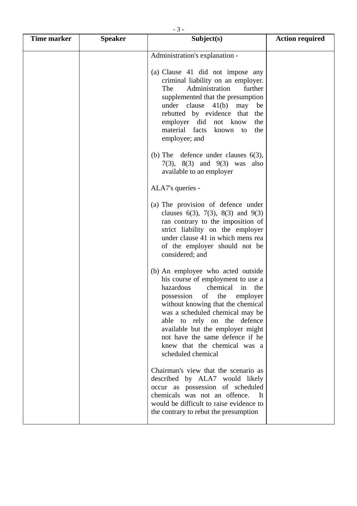| $-5 -$      |                |                                  |                        |  |  |
|-------------|----------------|----------------------------------|------------------------|--|--|
| Time marker | <b>Speaker</b> | Subject(s)                       | <b>Action required</b> |  |  |
|             |                | Administration's explanation -   |                        |  |  |
|             |                | (a) Clause 41 did not impose any |                        |  |  |

| (a) Clause 41 did not impose any   |     |
|------------------------------------|-----|
| criminal liability on an employer. |     |
| The Administration further         |     |
| supplemented that the presumption  |     |
| under clause $41(b)$ may be        |     |
| rebutted by evidence that the      |     |
| employer did not know              | the |
| material facts known to the        |     |
| employee; and                      |     |

|  | (b) The defence under clauses $6(3)$ , |                                     |  |  |
|--|----------------------------------------|-------------------------------------|--|--|
|  |                                        | $7(3)$ , $8(3)$ and $9(3)$ was also |  |  |
|  | available to an employer               |                                     |  |  |

ALA7's queries -

- (a) The provision of defence under clauses  $6(3)$ ,  $7(3)$ ,  $8(3)$  and  $9(3)$ ran contrary to the imposition of strict liability on the employer under clause 41 in which mens rea of the employer should not be considered; and
- (b) An employee who acted outside his course of employment to use a hazardous chemical in the possession of the employer without knowing that the chemical was a scheduled chemical may be able to rely on the defence available but the employer might not have the same defence if he knew that the chemical was a scheduled chemical

 Chairman's view that the scenario as described by ALA7 would likely occur as possession of scheduled chemicals was not an offence. It would be difficult to raise evidence to the contrary to rebut the presumption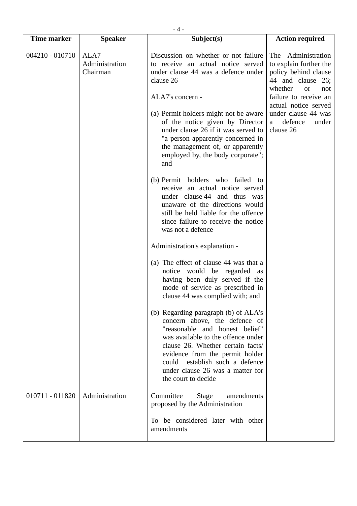| $-4-$             |                                    |                                                                                                                                                                                                                                                                                                                       |                                                                                                                             |  |  |
|-------------------|------------------------------------|-----------------------------------------------------------------------------------------------------------------------------------------------------------------------------------------------------------------------------------------------------------------------------------------------------------------------|-----------------------------------------------------------------------------------------------------------------------------|--|--|
| Time marker       | <b>Speaker</b>                     | Subject(s)                                                                                                                                                                                                                                                                                                            | <b>Action required</b>                                                                                                      |  |  |
| $004210 - 010710$ | ALA7<br>Administration<br>Chairman | Discussion on whether or not failure<br>to receive an actual notice served<br>under clause 44 was a defence under<br>clause 26                                                                                                                                                                                        | Administration<br>The<br>to explain further the<br>policy behind clause<br>44 and clause 26;<br>whether<br><b>or</b><br>not |  |  |
|                   |                                    | ALA7's concern -<br>(a) Permit holders might not be aware<br>of the notice given by Director<br>under clause 26 if it was served to<br>"a person apparently concerned in<br>the management of, or apparently<br>employed by, the body corporate";<br>and                                                              | failure to receive an<br>actual notice served<br>under clause 44 was<br>defence<br>under<br>a<br>clause 26                  |  |  |
|                   |                                    | (b) Permit holders who failed to<br>receive an actual notice served<br>under clause 44 and thus was<br>unaware of the directions would<br>still be held liable for the offence<br>since failure to receive the notice<br>was not a defence                                                                            |                                                                                                                             |  |  |
|                   |                                    | Administration's explanation -<br>(a) The effect of clause 44 was that a<br>notice would be regarded as<br>having been duly served if the<br>mode of service as prescribed in<br>clause 44 was complied with; and                                                                                                     |                                                                                                                             |  |  |
|                   |                                    | (b) Regarding paragraph (b) of ALA's<br>concern above, the defence of<br>"reasonable and honest belief"<br>was available to the offence under<br>clause 26. Whether certain facts/<br>evidence from the permit holder<br>establish such a defence<br>could<br>under clause 26 was a matter for<br>the court to decide |                                                                                                                             |  |  |
| 010711 - 011820   | Administration                     | Committee<br><b>Stage</b><br>amendments<br>proposed by the Administration<br>To be considered later with other<br>amendments                                                                                                                                                                                          |                                                                                                                             |  |  |